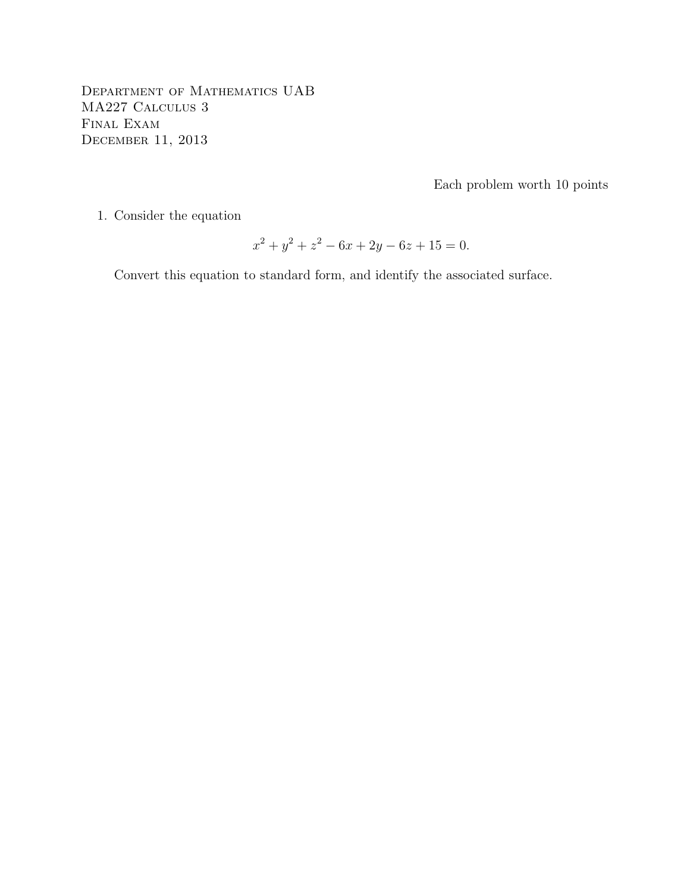Department of Mathematics UAB MA227 Calculus 3 Final Exam December 11, 2013

Each problem worth 10 points

1. Consider the equation

$$
x^2 + y^2 + z^2 - 6x + 2y - 6z + 15 = 0.
$$

Convert this equation to standard form, and identify the associated surface.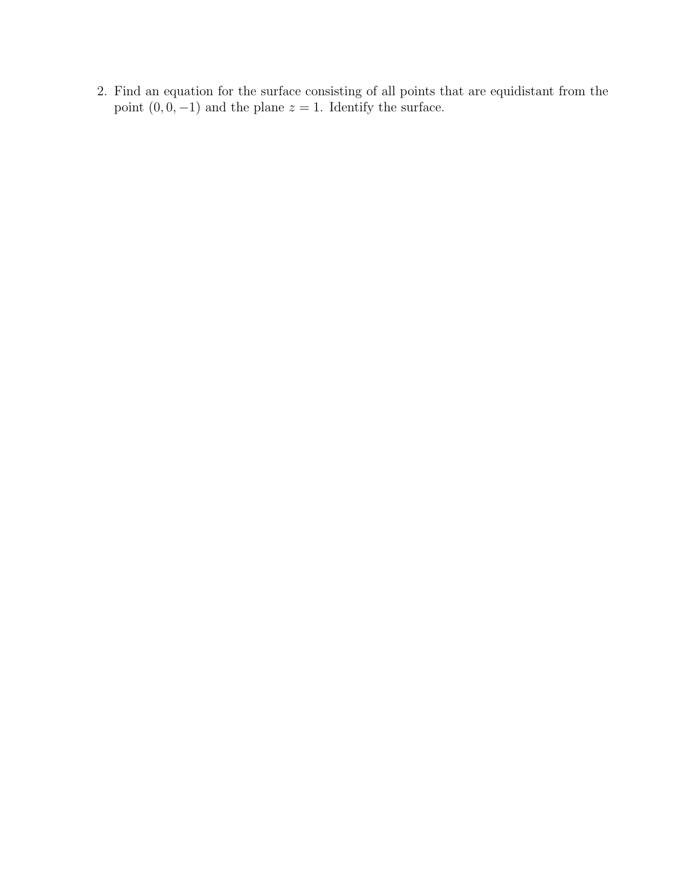2. Find an equation for the surface consisting of all points that are equidistant from the point  $(0, 0, -1)$  and the plane  $z = 1$ . Identify the surface.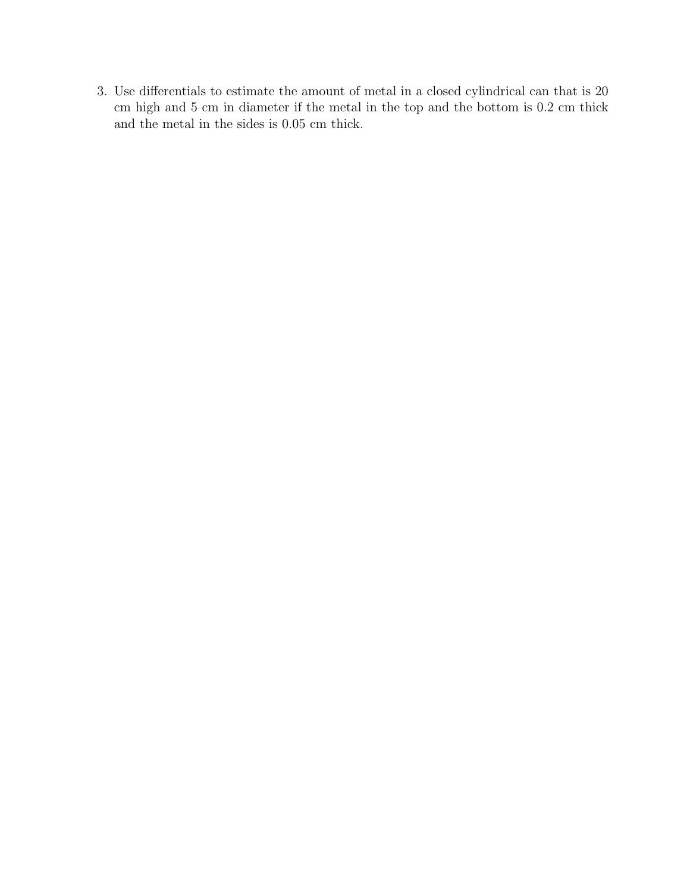3. Use differentials to estimate the amount of metal in a closed cylindrical can that is 20 cm high and 5 cm in diameter if the metal in the top and the bottom is 0.2 cm thick and the metal in the sides is 0.05 cm thick.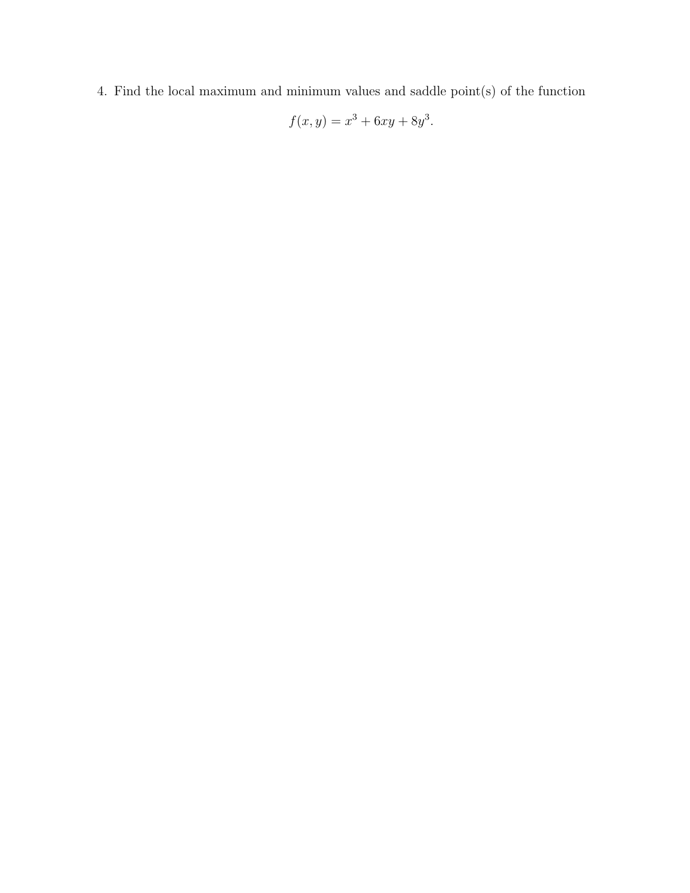4. Find the local maximum and minimum values and saddle point(s) of the function

$$
f(x, y) = x^3 + 6xy + 8y^3.
$$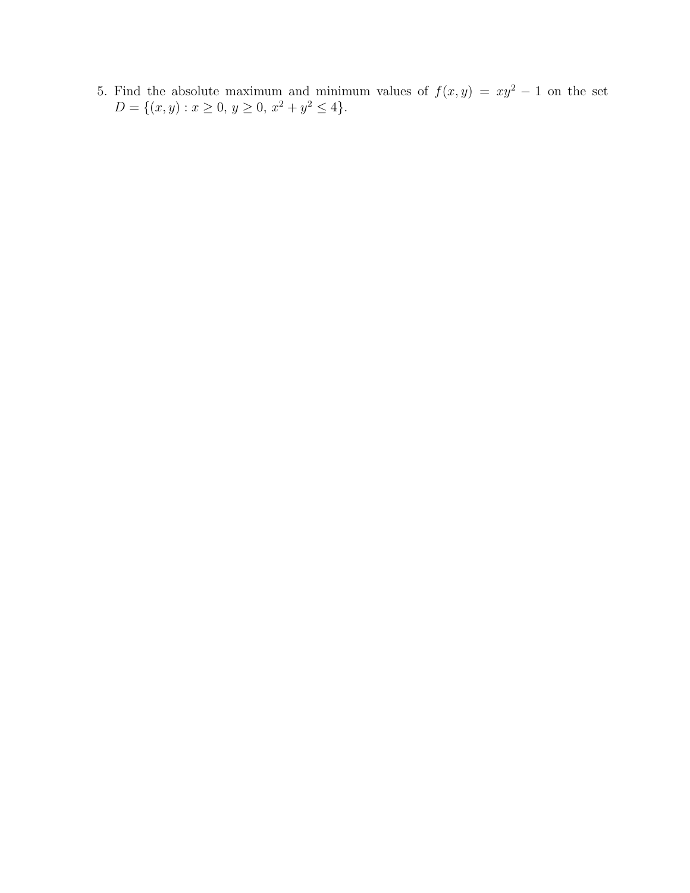5. Find the absolute maximum and minimum values of  $f(x, y) = xy^2 - 1$  on the set  $D = \{(x, y) : x \ge 0, y \ge 0, x^2 + y^2 \le 4\}.$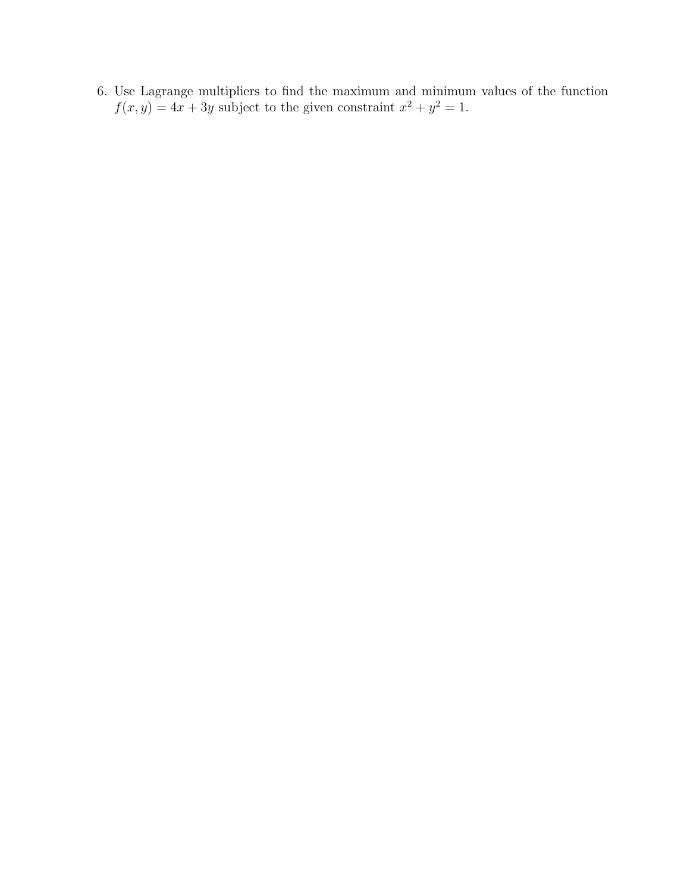6. Use Lagrange multipliers to find the maximum and minimum values of the function  $f(x, y) = 4x + 3y$  subject to the given constraint  $x^2 + y^2 = 1$ .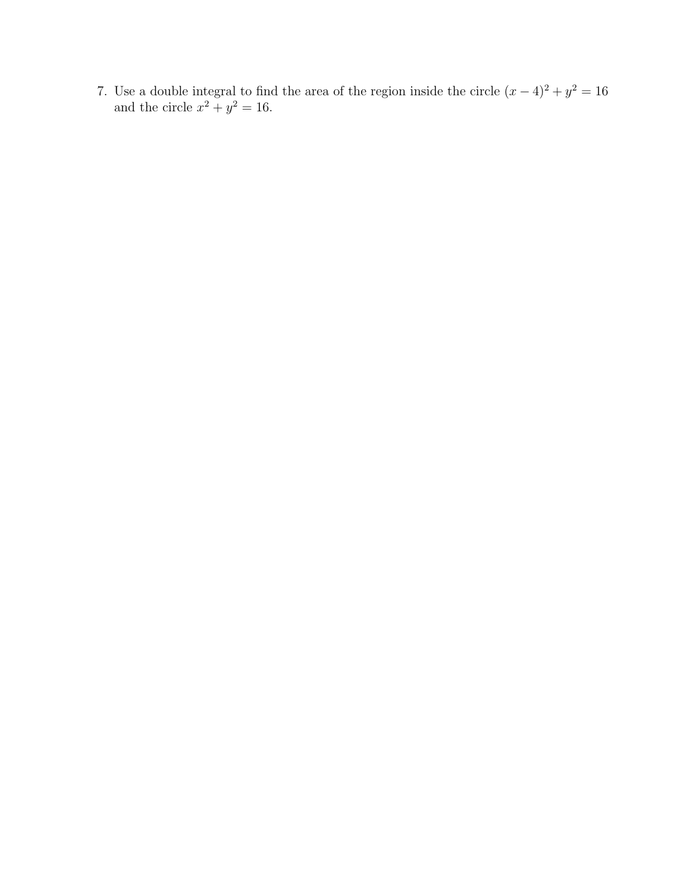7. Use a double integral to find the area of the region inside the circle  $(x-4)^2 + y^2 = 16$ and the circle  $x^2 + y^2 = 16$ .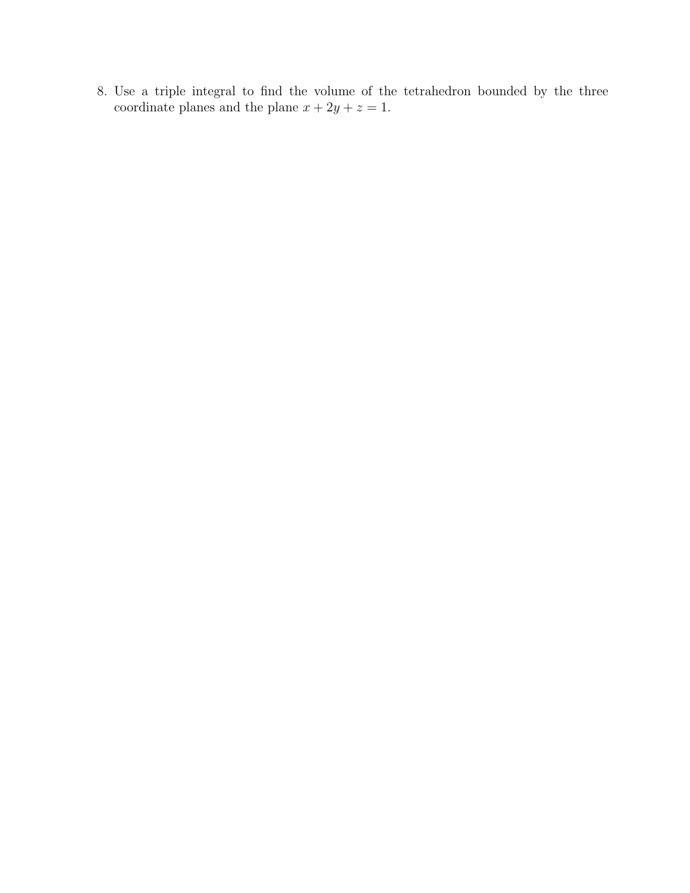8. Use a triple integral to find the volume of the tetrahedron bounded by the three coordinate planes and the plane  $x + 2y + z = 1$ .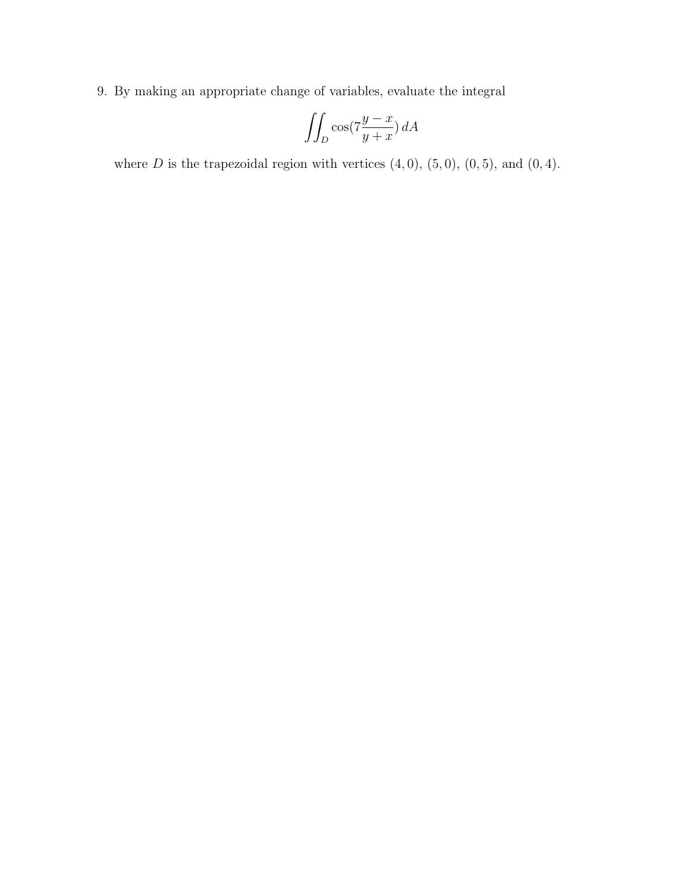9. By making an appropriate change of variables, evaluate the integral

$$
\iint_D \cos(7\frac{y-x}{y+x}) dA
$$

where  $D$  is the trapezoidal region with vertices  $(4, 0)$ ,  $(5, 0)$ ,  $(0, 5)$ , and  $(0, 4)$ .